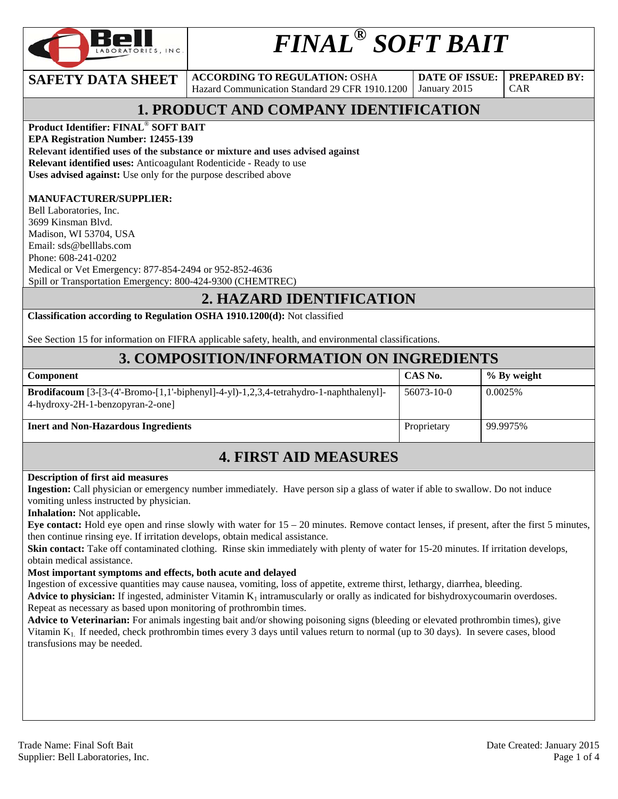

# *FINAL® SOFT BAIT*

**SAFETY DATA SHEET** ACCORDING TO REGULATION: OSHA Hazard Communication Standard 29 CFR 1910.1200

**DATE OF ISSUE:**  January 2015

CAR

**PREPARED BY:** 

### **1. PRODUCT AND COMPANY IDENTIFICATION**

**Product Identifier: FINAL**® **SOFT BAIT** 

**EPA Registration Number: 12455-139** 

**Relevant identified uses of the substance or mixture and uses advised against**

**Relevant identified uses:** Anticoagulant Rodenticide - Ready to use

**Uses advised against:** Use only for the purpose described above

#### **MANUFACTURER/SUPPLIER:**

Bell Laboratories, Inc. 3699 Kinsman Blvd. Madison, WI 53704, USA Email: sds@belllabs.com Phone: 608-241-0202 Medical or Vet Emergency: 877-854-2494 or 952-852-4636 Spill or Transportation Emergency: 800-424-9300 (CHEMTREC)

#### **2. HAZARD IDENTIFICATION**

**Classification according to Regulation OSHA 1910.1200(d):** Not classified

See Section 15 for information on FIFRA applicable safety, health, and environmental classifications.

#### **3. COMPOSITION/INFORMATION ON INGREDIENTS**

| <b>Component</b>                                                                                                                 | CAS No.     | $\%$ By weight |
|----------------------------------------------------------------------------------------------------------------------------------|-------------|----------------|
| <b>Brodifacoum</b> $[3-[3-(4-Bromo-[1,1'-biphenyl]-4-y]-1,2,3,4-tetrahydro-1-naphthalenyl]-$<br>4-hydroxy-2H-1-benzopyran-2-one] | 56073-10-0  | 0.0025%        |
| <b>Inert and Non-Hazardous Ingredients</b>                                                                                       | Proprietary | 99.9975%       |

### **4. FIRST AID MEASURES**

#### **Description of first aid measures**

**Ingestion:** Call physician or emergency number immediately. Have person sip a glass of water if able to swallow. Do not induce vomiting unless instructed by physician.

**Inhalation:** Not applicable**.** 

**Eye contact:** Hold eye open and rinse slowly with water for 15 – 20 minutes. Remove contact lenses, if present, after the first 5 minutes, then continue rinsing eye. If irritation develops, obtain medical assistance.

**Skin contact:** Take off contaminated clothing. Rinse skin immediately with plenty of water for 15-20 minutes. If irritation develops, obtain medical assistance.

#### **Most important symptoms and effects, both acute and delayed**

Ingestion of excessive quantities may cause nausea, vomiting, loss of appetite, extreme thirst, lethargy, diarrhea, bleeding.

Advice to physician: If ingested, administer Vitamin K<sub>1</sub> intramuscularly or orally as indicated for bishydroxycoumarin overdoses. Repeat as necessary as based upon monitoring of prothrombin times.

**Advice to Veterinarian:** For animals ingesting bait and/or showing poisoning signs (bleeding or elevated prothrombin times), give Vitamin K1. If needed, check prothrombin times every 3 days until values return to normal (up to 30 days). In severe cases, blood transfusions may be needed.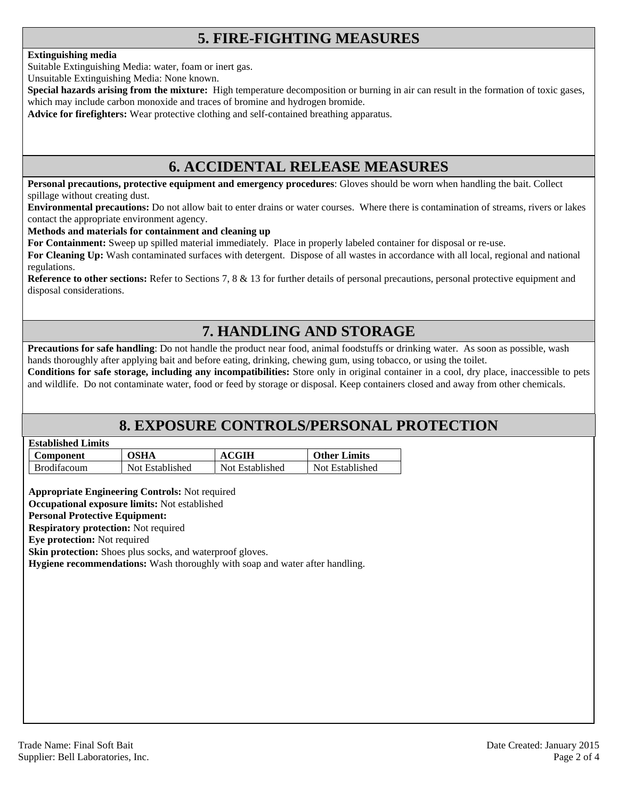### **5. FIRE-FIGHTING MEASURES**

#### **Extinguishing media**

Suitable Extinguishing Media: water, foam or inert gas.

Unsuitable Extinguishing Media: None known.

**Special hazards arising from the mixture:** High temperature decomposition or burning in air can result in the formation of toxic gases, which may include carbon monoxide and traces of bromine and hydrogen bromide.

**Advice for firefighters:** Wear protective clothing and self-contained breathing apparatus.

#### **6. ACCIDENTAL RELEASE MEASURES**

**Personal precautions, protective equipment and emergency procedures**: Gloves should be worn when handling the bait. Collect spillage without creating dust.

**Environmental precautions:** Do not allow bait to enter drains or water courses. Where there is contamination of streams, rivers or lakes contact the appropriate environment agency.

#### **Methods and materials for containment and cleaning up**

**For Containment:** Sweep up spilled material immediately. Place in properly labeled container for disposal or re-use.

**For Cleaning Up:** Wash contaminated surfaces with detergent. Dispose of all wastes in accordance with all local, regional and national regulations.

**Reference to other sections:** Refer to Sections 7, 8 & 13 for further details of personal precautions, personal protective equipment and disposal considerations.

### **7. HANDLING AND STORAGE**

**Precautions for safe handling**: Do not handle the product near food, animal foodstuffs or drinking water. As soon as possible, wash hands thoroughly after applying bait and before eating, drinking, chewing gum, using tobacco, or using the toilet.

**Conditions for safe storage, including any incompatibilities:** Store only in original container in a cool, dry place, inaccessible to pets and wildlife. Do not contaminate water, food or feed by storage or disposal. Keep containers closed and away from other chemicals.

### **8. EXPOSURE CONTROLS/PERSONAL PROTECTION**

| <b>Established Limits</b> |  |
|---------------------------|--|
|                           |  |

| <b>Component</b>   | <b>OSHA</b>     | <b>ACGIH</b>    | <b>Other Limits</b> |
|--------------------|-----------------|-----------------|---------------------|
| <b>Brodifacoum</b> | Not Established | Not Established | Not Established     |

**Appropriate Engineering Controls:** Not required

**Occupational exposure limits:** Not established

#### **Personal Protective Equipment:**

**Respiratory protection:** Not required

**Eye protection:** Not required

**Skin protection:** Shoes plus socks, and waterproof gloves.

**Hygiene recommendations:** Wash thoroughly with soap and water after handling.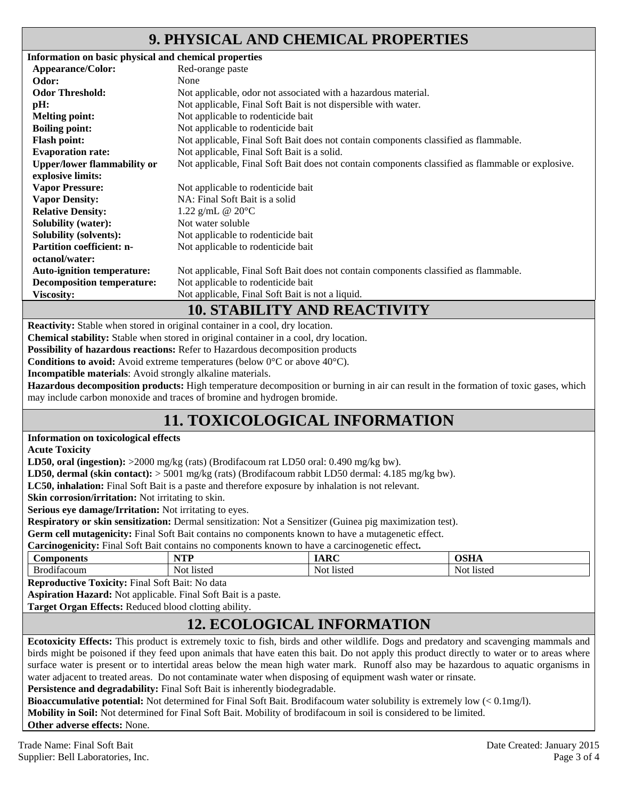### **9. PHYSICAL AND CHEMICAL PROPERTIES**

| Information on basic physical and chemical properties |                                                                                                   |
|-------------------------------------------------------|---------------------------------------------------------------------------------------------------|
| Appearance/Color:                                     | Red-orange paste                                                                                  |
| Odor:                                                 | None                                                                                              |
| <b>Odor Threshold:</b>                                | Not applicable, odor not associated with a hazardous material.                                    |
| pH:                                                   | Not applicable, Final Soft Bait is not dispersible with water.                                    |
| <b>Melting point:</b>                                 | Not applicable to rodenticide bait                                                                |
| <b>Boiling point:</b>                                 | Not applicable to rodenticide bait                                                                |
| <b>Flash point:</b>                                   | Not applicable, Final Soft Bait does not contain components classified as flammable.              |
| <b>Evaporation rate:</b>                              | Not applicable, Final Soft Bait is a solid.                                                       |
| <b>Upper/lower flammability or</b>                    | Not applicable, Final Soft Bait does not contain components classified as flammable or explosive. |
| explosive limits:                                     |                                                                                                   |
| <b>Vapor Pressure:</b>                                | Not applicable to rodenticide bait                                                                |
| <b>Vapor Density:</b>                                 | NA: Final Soft Bait is a solid                                                                    |
| <b>Relative Density:</b>                              | 1.22 g/mL @ $20^{\circ}$ C                                                                        |
| <b>Solubility (water):</b>                            | Not water soluble                                                                                 |
| <b>Solubility (solvents):</b>                         | Not applicable to rodenticide bait                                                                |
| <b>Partition coefficient: n-</b>                      | Not applicable to rodenticide bait                                                                |
| octanol/water:                                        |                                                                                                   |
| <b>Auto-ignition temperature:</b>                     | Not applicable, Final Soft Bait does not contain components classified as flammable.              |
| <b>Decomposition temperature:</b>                     | Not applicable to rodenticide bait                                                                |
| <b>Viscosity:</b>                                     | Not applicable, Final Soft Bait is not a liquid.                                                  |
|                                                       | <b>10. STABILITY AND REACTIVITY</b>                                                               |

**Reactivity:** Stable when stored in original container in a cool, dry location.

**Chemical stability:** Stable when stored in original container in a cool, dry location.

**Possibility of hazardous reactions:** Refer to Hazardous decomposition products

**Conditions to avoid:** Avoid extreme temperatures (below 0°C or above 40°C).

**Incompatible materials**: Avoid strongly alkaline materials.

**Hazardous decomposition products:** High temperature decomposition or burning in air can result in the formation of toxic gases, which may include carbon monoxide and traces of bromine and hydrogen bromide.

## **11. TOXICOLOGICAL INFORMATION**

#### **Information on toxicological effects**

**Acute Toxicity** 

**LD50, oral (ingestion):** >2000 mg/kg (rats) (Brodifacoum rat LD50 oral: 0.490 mg/kg bw).

**LD50, dermal (skin contact):** > 5001 mg/kg (rats) (Brodifacoum rabbit LD50 dermal: 4.185 mg/kg bw).

**LC50, inhalation:** Final Soft Bait is a paste and therefore exposure by inhalation is not relevant.

**Skin corrosion/irritation:** Not irritating to skin.

**Serious eye damage/Irritation:** Not irritating to eyes.

**Respiratory or skin sensitization:** Dermal sensitization: Not a Sensitizer (Guinea pig maximization test).

**Germ cell mutagenicity:** Final Soft Bait contains no components known to have a mutagenetic effect.

**Carcinogenicity:** Final Soft Bait contains no components known to have a carcinogenetic effect**.** 

| noonents                 | VTT            | $\sim$               | $\sim$ $\sim$ $\sim$ |
|--------------------------|----------------|----------------------|----------------------|
| $\cup$ OIr               | .              | -                    |                      |
| $\cdots$<br>ບ⊷<br>tacoum | listed<br>NOT. | <b>Not</b><br>listed | -Not<br>listed       |

**Reproductive Toxicity:** Final Soft Bait: No data

**Aspiration Hazard:** Not applicable. Final Soft Bait is a paste.

**Target Organ Effects:** Reduced blood clotting ability.

### **12. ECOLOGICAL INFORMATION**

**Ecotoxicity Effects:** This product is extremely toxic to fish, birds and other wildlife. Dogs and predatory and scavenging mammals and birds might be poisoned if they feed upon animals that have eaten this bait. Do not apply this product directly to water or to areas where surface water is present or to intertidal areas below the mean high water mark. Runoff also may be hazardous to aquatic organisms in water adjacent to treated areas. Do not contaminate water when disposing of equipment wash water or rinsate.

Persistence and degradability: Final Soft Bait is inherently biodegradable.

**Bioaccumulative potential:** Not determined for Final Soft Bait. Brodifacoum water solubility is extremely low (< 0.1mg/l). **Mobility in Soil:** Not determined for Final Soft Bait. Mobility of brodifacoum in soil is considered to be limited. **Other adverse effects:** None.